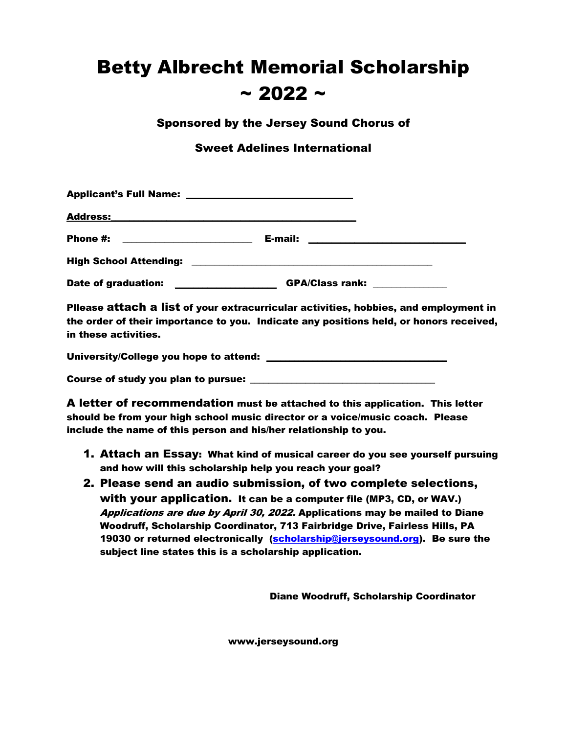## Betty Albrecht Memorial Scholarship  $\sim$  2022  $\sim$

Sponsored by the Jersey Sound Chorus of

Sweet Adelines International

| <b>Applicant's Full Name:</b>                                                                                                     | <u> 1989 - Johann Harry Harry Harry Harry Harry Harry Harry Harry Harry Harry Harry Harry Harry Harry Harry Harry Harry Harry Harry Harry Harry Harry Harry Harry Harry Harry Harry Harry Harry Harry Harry Harry Harry Harry Ha</u> |  |
|-----------------------------------------------------------------------------------------------------------------------------------|--------------------------------------------------------------------------------------------------------------------------------------------------------------------------------------------------------------------------------------|--|
| <b>Address:</b>                                                                                                                   |                                                                                                                                                                                                                                      |  |
| Phone #:<br><u> 1989 - Johann Harry Harry Harry Harry Harry Harry Harry Harry Harry Harry Harry Harry Harry Harry Harry Harry</u> | E-mail:                                                                                                                                                                                                                              |  |
| <b>High School Attending:</b>                                                                                                     | <u> 1989 - Johann Harry Barn, mars ar breist ar yw y cynnwys y cynnwys y cynnwys y cynnwys y cynnwys y cynnwys y</u>                                                                                                                 |  |
| <b>Date of graduation:</b>                                                                                                        | <b>GPA/Class rank:</b>                                                                                                                                                                                                               |  |

Pllease attach a list of your extracurricular activities, hobbies, and employment in the order of their importance to you. Indicate any positions held, or honors received, in these activities.

University/College you hope to attend: \_\_\_\_\_\_\_\_\_\_\_\_\_\_\_\_\_\_\_\_\_\_\_\_\_\_\_\_\_\_\_\_\_\_\_\_\_\_\_

Course of study you plan to pursue:

A letter of recommendation must be attached to this application. This letter should be from your high school music director or a voice/music coach. Please include the name of this person and his/her relationship to you.

- 1. Attach an Essay: What kind of musical career do you see yourself pursuing and how will this scholarship help you reach your goal?
- 2. Please send an audio submission, of two complete selections, with your application. It can be a computer file (MP3, CD, or WAV.) Applications are due by April 30, 2022. Applications may be mailed to Diane Woodruff, Scholarship Coordinator, 713 Fairbridge Drive, Fairless Hills, PA 19030 or returned electronically (scholarship@jerseysound.org). Be sure the subject line states this is a scholarship application.

Diane Woodruff, Scholarship Coordinator

www.jerseysound.org